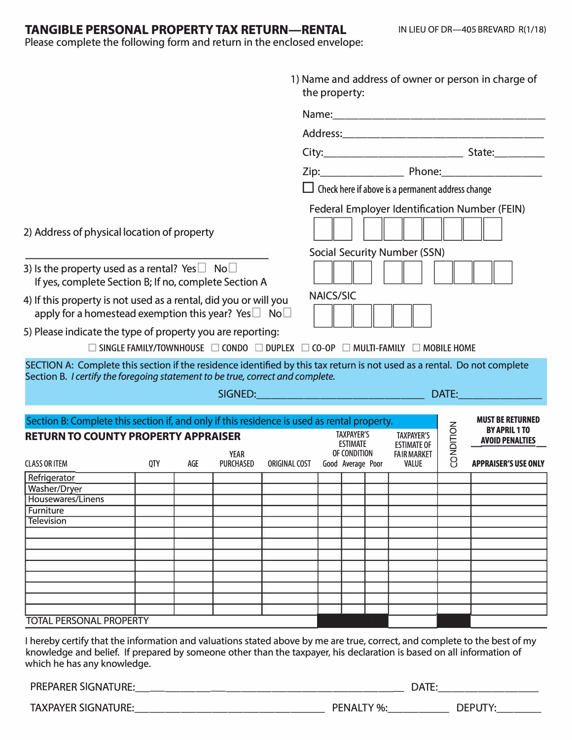# **TANGIBLE PERSONAL PROPERTY TAX RETURN-RENTAL**

Please complete the following form and return in the enclosed envelope:

| 1) Name and address of owner or person in charge of<br>the property:                                                                                                                                                                                                             |            |     |                   |                                                                                                                                 |                                                                                 |                                   |  |                                    |           |                                                |
|----------------------------------------------------------------------------------------------------------------------------------------------------------------------------------------------------------------------------------------------------------------------------------|------------|-----|-------------------|---------------------------------------------------------------------------------------------------------------------------------|---------------------------------------------------------------------------------|-----------------------------------|--|------------------------------------|-----------|------------------------------------------------|
|                                                                                                                                                                                                                                                                                  |            |     |                   |                                                                                                                                 |                                                                                 |                                   |  |                                    |           |                                                |
|                                                                                                                                                                                                                                                                                  |            |     |                   |                                                                                                                                 |                                                                                 |                                   |  |                                    |           |                                                |
|                                                                                                                                                                                                                                                                                  |            |     |                   |                                                                                                                                 |                                                                                 |                                   |  |                                    |           |                                                |
|                                                                                                                                                                                                                                                                                  |            |     |                   |                                                                                                                                 |                                                                                 |                                   |  |                                    |           |                                                |
|                                                                                                                                                                                                                                                                                  |            |     |                   |                                                                                                                                 | $\Box$ Check here if above is a permanent address change                        |                                   |  |                                    |           |                                                |
|                                                                                                                                                                                                                                                                                  |            |     |                   |                                                                                                                                 | Federal Employer Identification Number (FEIN)                                   |                                   |  |                                    |           |                                                |
| 2) Address of physical location of property                                                                                                                                                                                                                                      |            |     |                   |                                                                                                                                 |                                                                                 |                                   |  |                                    |           |                                                |
| 3) Is the property used as a rental? Yes $\Box$ No $\Box$<br>If yes, complete Section B; If no, complete Section A                                                                                                                                                               |            |     |                   |                                                                                                                                 | <b>Social Security Number (SSN)</b>                                             |                                   |  |                                    |           |                                                |
| 4) If this property is not used as a rental, did you or will you<br>apply for a homestead exemption this year? Yes $\Box$ No $\Box$<br>5) Please indicate the type of property you are reporting:                                                                                |            |     |                   |                                                                                                                                 | <b>NAICS/SIC</b>                                                                |                                   |  |                                    |           |                                                |
|                                                                                                                                                                                                                                                                                  |            |     |                   | $\square$ SINGLE FAMILY/TOWNHOUSE $\square$ CONDO $\square$ DUPLEX $\square$ CO-OP $\square$ MULTI-FAMILY $\square$ MOBILE HOME |                                                                                 |                                   |  |                                    |           |                                                |
| SECTION A: Complete this section if the residence identified by this tax return is not used as a rental. Do not complete<br>Section B. I certify the foregoing statement to be true, correct and complete.                                                                       |            |     |                   |                                                                                                                                 |                                                                                 |                                   |  |                                    |           |                                                |
|                                                                                                                                                                                                                                                                                  |            |     |                   |                                                                                                                                 |                                                                                 |                                   |  |                                    |           | <b>MUST BE RETURNED</b>                        |
| Section B: Complete this section if, and only if this residence is used as rental property.<br><b>RETURN TO COUNTY PROPERTY APPRAISER</b>                                                                                                                                        |            |     |                   |                                                                                                                                 | <b>TAXPAYER'S</b><br><b>TAXPAYER'S</b><br><b>ESTIMATE</b><br><b>ESTIMATE OF</b> |                                   |  |                                    | CONDITION | <b>BY APRIL 1 TO</b><br><b>AVOID PENALTIES</b> |
| <b>CLASS OR ITEM</b>                                                                                                                                                                                                                                                             | <b>QTY</b> | AGE | YEAR<br>PURCHASED | ORIGINAL COST                                                                                                                   |                                                                                 | OF CONDITION<br>Good Average Poor |  | <b>FAIR MARKET</b><br><b>VALUE</b> |           | <b>APPRAISER'S USE ONLY</b>                    |
| Refrigerator                                                                                                                                                                                                                                                                     |            |     |                   |                                                                                                                                 |                                                                                 |                                   |  |                                    |           |                                                |
| Washer/Dryer<br>Housewares/Linens                                                                                                                                                                                                                                                |            |     |                   |                                                                                                                                 |                                                                                 |                                   |  |                                    |           |                                                |
| Furniture                                                                                                                                                                                                                                                                        |            |     |                   |                                                                                                                                 |                                                                                 |                                   |  |                                    |           |                                                |
| Television                                                                                                                                                                                                                                                                       |            |     |                   |                                                                                                                                 |                                                                                 |                                   |  |                                    |           |                                                |
|                                                                                                                                                                                                                                                                                  |            |     |                   |                                                                                                                                 |                                                                                 |                                   |  |                                    |           |                                                |
|                                                                                                                                                                                                                                                                                  |            |     |                   |                                                                                                                                 |                                                                                 |                                   |  |                                    |           |                                                |
|                                                                                                                                                                                                                                                                                  |            |     |                   |                                                                                                                                 |                                                                                 |                                   |  |                                    |           |                                                |
|                                                                                                                                                                                                                                                                                  |            |     |                   |                                                                                                                                 |                                                                                 |                                   |  |                                    |           |                                                |
|                                                                                                                                                                                                                                                                                  |            |     |                   |                                                                                                                                 |                                                                                 |                                   |  |                                    |           |                                                |
|                                                                                                                                                                                                                                                                                  |            |     |                   |                                                                                                                                 |                                                                                 |                                   |  |                                    |           |                                                |
|                                                                                                                                                                                                                                                                                  |            |     |                   |                                                                                                                                 |                                                                                 |                                   |  |                                    |           |                                                |
| <b>TOTAL PERSONAL PROPERTY</b>                                                                                                                                                                                                                                                   |            |     |                   |                                                                                                                                 |                                                                                 |                                   |  |                                    |           |                                                |
| I hereby certify that the information and valuations stated above by me are true, correct, and complete to the best of my<br>knowledge and belief. If prepared by someone other than the taxpayer, his declaration is based on all information of<br>which he has any knowledge. |            |     |                   |                                                                                                                                 |                                                                                 |                                   |  |                                    |           |                                                |
|                                                                                                                                                                                                                                                                                  |            |     |                   |                                                                                                                                 |                                                                                 |                                   |  |                                    |           |                                                |
| <b>TAXPAYER SIGNATURE:</b>                                                                                                                                                                                                                                                       |            |     | DEPUTY:           |                                                                                                                                 |                                                                                 |                                   |  |                                    |           |                                                |